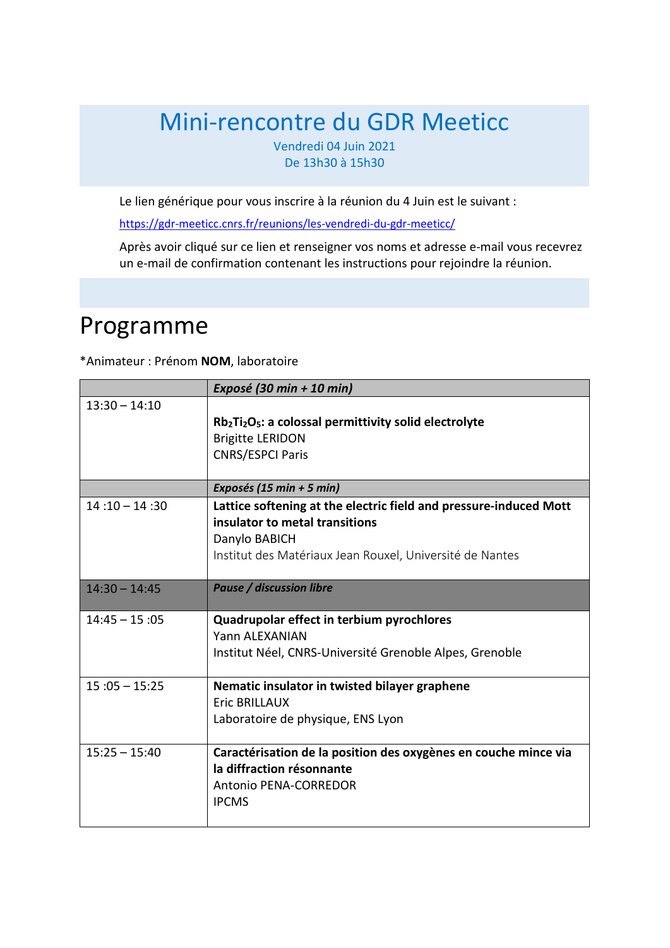# Mini-rencontre du GDR Meeticc

Vendredi 04 Juin 2021 De 13h30 à 15h30

Le lien générique pour vous inscrire à la réunion du 4 Juin est le suivant :

<https://gdr-meeticc.cnrs.fr/reunions/les-vendredi-du-gdr-meeticc/>

Après avoir cliqué sur ce lien et renseigner vos noms et adresse e-mail vous recevrez un e-mail de confirmation contenant les instructions pour rejoindre la réunion.

# Programme

\*Animateur : Prénom **NOM**, laboratoire

|                 | Exposé (30 min + 10 min)                                                                                                                                                         |
|-----------------|----------------------------------------------------------------------------------------------------------------------------------------------------------------------------------|
| $13:30 - 14:10$ | $Rb_2Ti_2O_5$ : a colossal permittivity solid electrolyte<br><b>Brigitte LERIDON</b><br><b>CNRS/ESPCI Paris</b>                                                                  |
|                 | Exposés (15 min + 5 min)                                                                                                                                                         |
| $14:10 - 14:30$ | Lattice softening at the electric field and pressure-induced Mott<br>insulator to metal transitions<br>Danylo BABICH<br>Institut des Matériaux Jean Rouxel, Université de Nantes |
| $14:30 - 14:45$ | <b>Pause / discussion libre</b>                                                                                                                                                  |
| $14:45 - 15:05$ | Quadrupolar effect in terbium pyrochlores<br>Yann ALEXANIAN<br>Institut Néel, CNRS-Université Grenoble Alpes, Grenoble                                                           |
| $15:05 - 15:25$ | Nematic insulator in twisted bilayer graphene<br><b>Eric BRILLAUX</b><br>Laboratoire de physique, ENS Lyon                                                                       |
| $15:25 - 15:40$ | Caractérisation de la position des oxygènes en couche mince via<br>la diffraction résonnante<br><b>Antonio PENA-CORREDOR</b><br><b>IPCMS</b>                                     |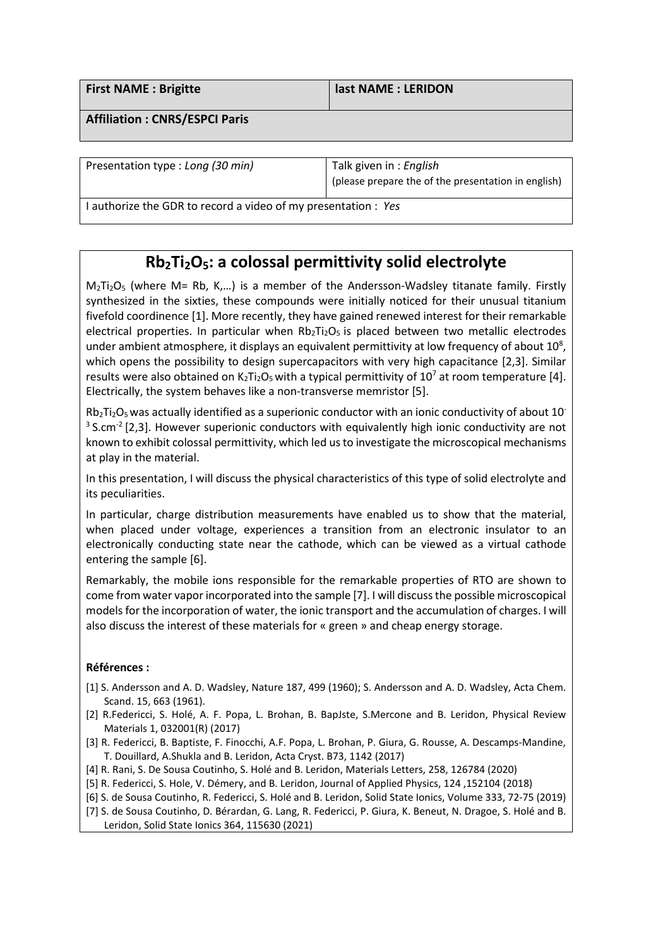| <b>First NAME: Brigitte</b>          | last NAME : LERIDON |
|--------------------------------------|---------------------|
| <b>Affiliation: CNRS/ESPCI Paris</b> |                     |
|                                      |                     |

Presentation type : *Long (30 min)* Talk given in : *English* (please prepare the of the presentation in english)

I authorize the GDR to record a video of my presentation : *Yes*

## **Rb2Ti2O5: a colossal permittivity solid electrolyte**

 $M_2Ti_2O_5$  (where M= Rb, K,...) is a member of the Andersson-Wadsley titanate family. Firstly synthesized in the sixties, these compounds were initially noticed for their unusual titanium fivefold coordinence [1]. More recently, they have gained renewed interest for their remarkable electrical properties. In particular when  $Rb_2Ti_2O_5$  is placed between two metallic electrodes under ambient atmosphere, it displays an equivalent permittivity at low frequency of about  $10^8$ , which opens the possibility to design supercapacitors with very high capacitance [2,3]. Similar results were also obtained on  $K_2Ti_2O_5$  with a typical permittivity of 10<sup>7</sup> at room temperature [4]. Electrically, the system behaves like a non-transverse memristor [5].

 $Rb_2Ti_2O_5$  was actually identified as a superionic conductor with an ionic conductivity of about 10- $3$  S.cm<sup>-2</sup> [2,3]. However superionic conductors with equivalently high ionic conductivity are not known to exhibit colossal permittivity, which led usto investigate the microscopical mechanisms at play in the material.

In this presentation, I will discuss the physical characteristics of this type of solid electrolyte and its peculiarities.

In particular, charge distribution measurements have enabled us to show that the material, when placed under voltage, experiences a transition from an electronic insulator to an electronically conducting state near the cathode, which can be viewed as a virtual cathode entering the sample [6].

Remarkably, the mobile ions responsible for the remarkable properties of RTO are shown to come from water vaporincorporated into the sample [7]. I will discussthe possible microscopical models for the incorporation of water, the ionic transport and the accumulation of charges. I will also discuss the interest of these materials for « green » and cheap energy storage.

#### **Références :**

- [1] S. Andersson and A. D. Wadsley, Nature 187, 499 (1960); S. Andersson and A. D. Wadsley, Acta Chem. Scand. 15, 663 (1961).
- [2] R.Federicci, S. Holé, A. F. Popa, L. Brohan, B. BapJste, S.Mercone and B. Leridon, Physical Review Materials 1, 032001(R) (2017)
- [3] R. Federicci, B. Baptiste, F. Finocchi, A.F. Popa, L. Brohan, P. Giura, G. Rousse, A. Descamps-Mandine, T. Douillard, A.Shukla and B. Leridon, Acta Cryst. B73, 1142 (2017)
- [4] R. Rani, S. De Sousa Coutinho, S. Holé and B. Leridon, Materials Letters, 258, 126784 (2020)
- [5] R. Federicci, S. Hole, V. Démery, and B. Leridon, Journal of Applied Physics, 124 ,152104 (2018)
- [6] S. de Sousa Coutinho, R. Federicci, S. Holé and B. Leridon, Solid State Ionics, Volume 333, 72-75 (2019)
- [7] S. de Sousa Coutinho, D. Bérardan, G. Lang, R. Federicci, P. Giura, K. Beneut, N. Dragoe, S. Holé and B. Leridon, Solid State Ionics 364, 115630 (2021)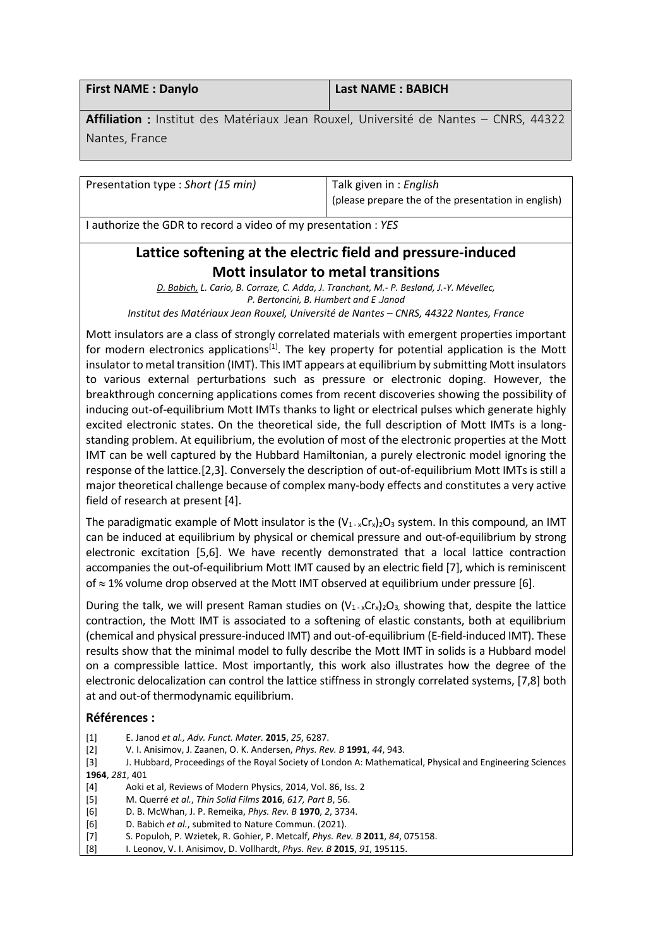| <b>First NAME: Danylo</b> | <b>Last NAME: BABICH</b> |
|---------------------------|--------------------------|
|                           |                          |

**Affiliation** : Institut des Matériaux Jean Rouxel, Université de Nantes – CNRS, 44322 Nantes, France

Presentation type : *Short (15 min)* Talk given in : *English*

(please prepare the of the presentation in english)

I authorize the GDR to record a video of my presentation : *YES*

### **Lattice softening at the electric field and pressure-induced Mott insulator to metal transitions**

*D. Babich, L. Cario, B. Corraze, C. Adda, J. Tranchant, M.- P. Besland, J.-Y. Mévellec, P. Bertoncini, B. Humbert and E .Janod Institut des Matériaux Jean Rouxel, Université de Nantes – CNRS, 44322 Nantes, France*

Mott insulators are a class of strongly correlated materials with emergent properties important for modern electronics applications<sup>[1]</sup>. The key property for potential application is the Mott insulator to metal transition (IMT). This IMT appears at equilibrium by submitting Mott insulators to various external perturbations such as pressure or electronic doping. However, the breakthrough concerning applications comes from recent discoveries showing the possibility of inducing out-of-equilibrium Mott IMTs thanks to light or electrical pulses which generate highly excited electronic states. On the theoretical side, the full description of Mott IMTs is a longstanding problem. At equilibrium, the evolution of most of the electronic properties at the Mott IMT can be well captured by the Hubbard Hamiltonian, a purely electronic model ignoring the response of the lattice.[2,3]. Conversely the description of out-of-equilibrium Mott IMTs is still a major theoretical challenge because of complex many-body effects and constitutes a very active field of research at present [4].

The paradigmatic example of Mott insulator is the  $(V_{1-x}Cr_{x})_{2}O_{3}$  system. In this compound, an IMT can be induced at equilibrium by physical or chemical pressure and out-of-equilibrium by strong electronic excitation [5,6]. We have recently demonstrated that a local lattice contraction accompanies the out-of-equilibrium Mott IMT caused by an electric field [7], which is reminiscent of ≈ 1% volume drop observed at the Mott IMT observed at equilibrium under pressure [6].

During the talk, we will present Raman studies on  $(V_1, \chi C_X)_{2}O_3$ , showing that, despite the lattice contraction, the Mott IMT is associated to a softening of elastic constants, both at equilibrium (chemical and physical pressure-induced IMT) and out-of-equilibrium (E-field-induced IMT). These results show that the minimal model to fully describe the Mott IMT in solids is a Hubbard model on a compressible lattice. Most importantly, this work also illustrates how the degree of the electronic delocalization can control the lattice stiffness in strongly correlated systems, [7,8] both at and out-of thermodynamic equilibrium.

#### **Références :**

- [1] E. Janod *et al., Adv. Funct. Mater.* **2015**, *25*, 6287.
- [2] V. I. Anisimov, J. Zaanen, O. K. Andersen, *Phys. Rev. B* **1991**, *44*, 943.

[3] J. Hubbard, Proceedings of the Royal Society of London A: Mathematical, Physical and Engineering Sciences **1964**, *281*, 401

- [4] Aoki et al, Reviews of Modern Physics, 2014, Vol. 86, Iss. 2
- [5] M. Querré *et al.*, *Thin Solid Films* **2016**, *617, Part B*, 56.
- [6] D. B. McWhan, J. P. Remeika, *Phys. Rev. B* **1970**, *2*, 3734.
- [6] D. Babich *et al.*, submited to Nature Commun. (2021).
- [7] S. Populoh, P. Wzietek, R. Gohier, P. Metcalf, *Phys. Rev. B* **2011**, *84*, 075158.
- [8] I. Leonov, V. I. Anisimov, D. Vollhardt, *Phys. Rev. B* **2015**, *91*, 195115.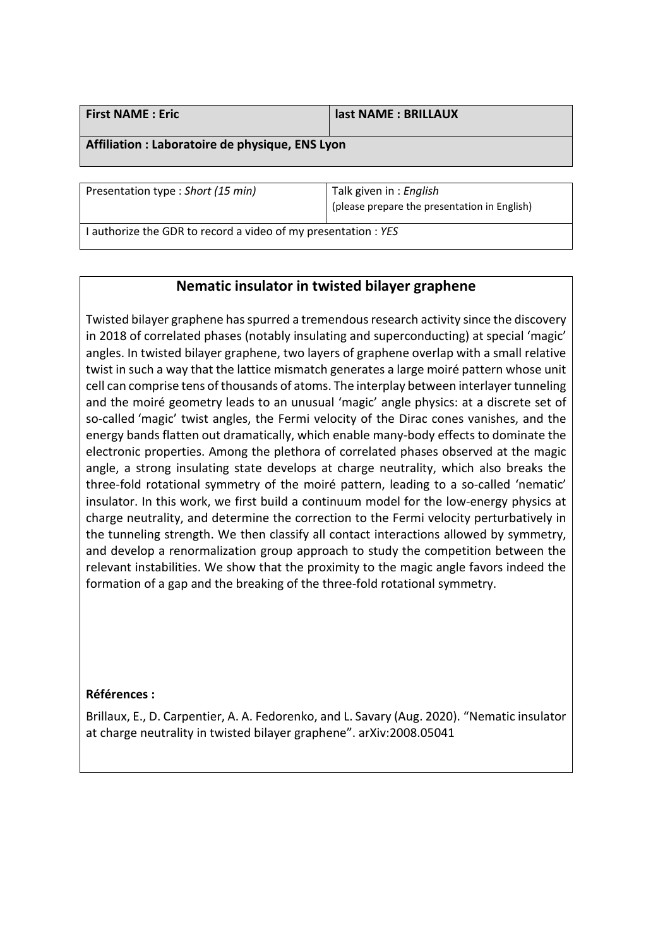| <b>First NAME : Eric</b>                       | last NAME : BRILLAUX |
|------------------------------------------------|----------------------|
| Affiliation : Laboratoire de physique ENC Lyon |                      |

**Affiliation : Laboratoire de physique, ENS Lyon**

Presentation type : *Short (15 min)* Talk given in : *English*

(please prepare the presentation in English)

I authorize the GDR to record a video of my presentation : *YES*

### **Nematic insulator in twisted bilayer graphene**

Twisted bilayer graphene has spurred a tremendous research activity since the discovery in 2018 of correlated phases (notably insulating and superconducting) at special 'magic' angles. In twisted bilayer graphene, two layers of graphene overlap with a small relative twist in such a way that the lattice mismatch generates a large moiré pattern whose unit cell can comprise tens of thousands of atoms. The interplay between interlayer tunneling and the moiré geometry leads to an unusual 'magic' angle physics: at a discrete set of so-called 'magic' twist angles, the Fermi velocity of the Dirac cones vanishes, and the energy bands flatten out dramatically, which enable many-body effects to dominate the electronic properties. Among the plethora of correlated phases observed at the magic angle, a strong insulating state develops at charge neutrality, which also breaks the three-fold rotational symmetry of the moiré pattern, leading to a so-called 'nematic' insulator. In this work, we first build a continuum model for the low-energy physics at charge neutrality, and determine the correction to the Fermi velocity perturbatively in the tunneling strength. We then classify all contact interactions allowed by symmetry, and develop a renormalization group approach to study the competition between the relevant instabilities. We show that the proximity to the magic angle favors indeed the formation of a gap and the breaking of the three-fold rotational symmetry.

#### **Références :**

Brillaux, E., D. Carpentier, A. A. Fedorenko, and L. Savary (Aug. 2020). "Nematic insulator at charge neutrality in twisted bilayer graphene". arXiv:2008.05041